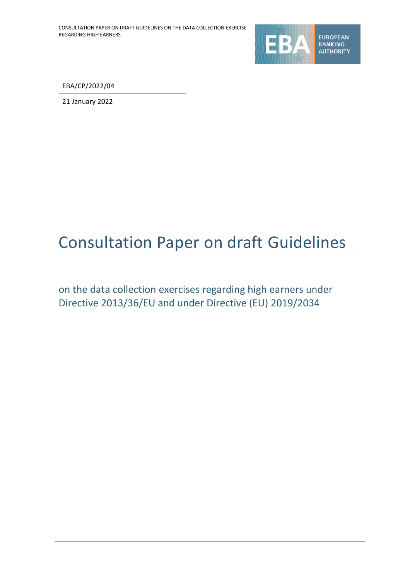

EBA/CP/2022/04

21 January 2022

# Consultation Paper on draft Guidelines

on the data collection exercises regarding high earners under Directive 2013/36/EU and under Directive (EU) 2019/2034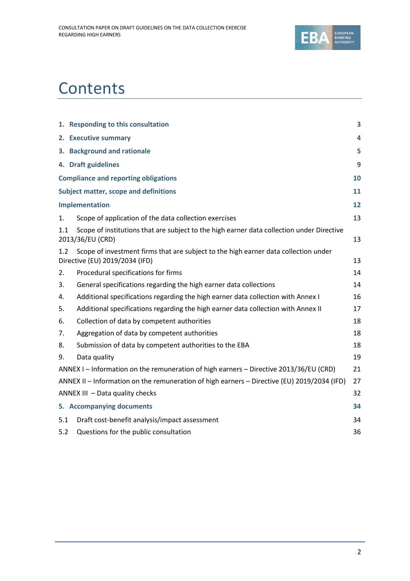

# **Contents**

|     | 1. Responding to this consultation                                                                                    | 3  |
|-----|-----------------------------------------------------------------------------------------------------------------------|----|
|     | 2. Executive summary                                                                                                  | 4  |
|     | 3. Background and rationale                                                                                           | 5  |
|     | 4. Draft guidelines                                                                                                   | 9  |
|     | <b>Compliance and reporting obligations</b>                                                                           | 10 |
|     | <b>Subject matter, scope and definitions</b>                                                                          | 11 |
|     | Implementation                                                                                                        | 12 |
| 1.  | Scope of application of the data collection exercises                                                                 | 13 |
| 1.1 | Scope of institutions that are subject to the high earner data collection under Directive<br>2013/36/EU (CRD)         | 13 |
| 1.2 | Scope of investment firms that are subject to the high earner data collection under<br>Directive (EU) 2019/2034 (IFD) | 13 |
| 2.  | Procedural specifications for firms                                                                                   | 14 |
| 3.  | General specifications regarding the high earner data collections                                                     | 14 |
| 4.  | Additional specifications regarding the high earner data collection with Annex I                                      | 16 |
| 5.  | Additional specifications regarding the high earner data collection with Annex II                                     | 17 |
| 6.  | Collection of data by competent authorities                                                                           | 18 |
| 7.  | Aggregation of data by competent authorities                                                                          | 18 |
| 8.  | Submission of data by competent authorities to the EBA                                                                | 18 |
| 9.  | Data quality                                                                                                          | 19 |
|     | ANNEX I - Information on the remuneration of high earners - Directive 2013/36/EU (CRD)                                | 21 |
|     | ANNEX II – Information on the remuneration of high earners – Directive (EU) 2019/2034 (IFD)                           | 27 |
|     | ANNEX III - Data quality checks                                                                                       | 32 |
|     | 5. Accompanying documents                                                                                             | 34 |
| 5.1 | Draft cost-benefit analysis/impact assessment                                                                         | 34 |
| 5.2 | Questions for the public consultation                                                                                 | 36 |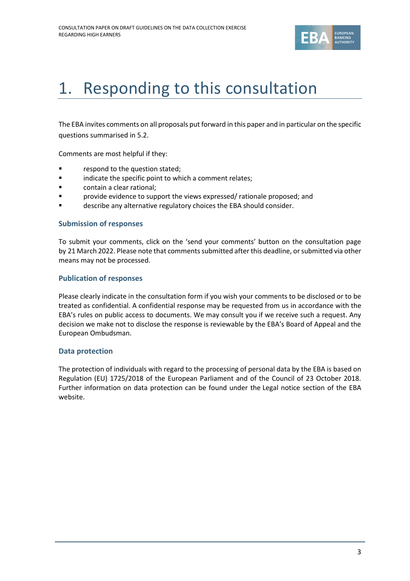

# 1. Responding to this consultation

The EBA invites comments on all proposals put forward in this paper and in particular on the specific questions summarised in 5.2.

Comments are most helpful if they:

- respond to the question stated;
- **•** indicate the specific point to which a comment relates;
- contain a clear rational;
- **Provide evidence to support the views expressed/ rationale proposed; and**
- describe any alternative regulatory choices the EBA should consider.

#### **Submission of responses**

To submit your comments, click on the 'send your comments' button on the consultation page by 21 March 2022. Please note that comments submitted after this deadline, or submitted via other means may not be processed.

#### **Publication of responses**

Please clearly indicate in the consultation form if you wish your comments to be disclosed or to be treated as confidential. A confidential response may be requested from us in accordance with the EBA's rules on public access to documents. We may consult you if we receive such a request. Any decision we make not to disclose the response is reviewable by the EBA's Board of Appeal and the European Ombudsman.

#### **Data protection**

The protection of individuals with regard to the processing of personal data by the EBA is based on Regulation (EU) 1725/2018 of the European Parliament and of the Council of 23 October 2018. Further information on data protection can be found under the [Legal notice section](http://eba.europa.eu/legal-notice) of the EBA website.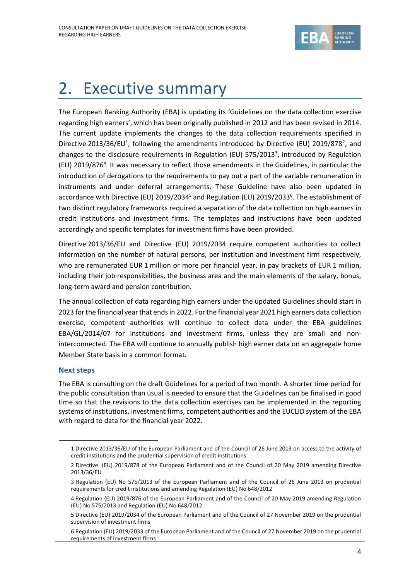

# 2. Executive summary

The European Banking Authority (EBA) is updating its 'Guidelines on the data collection exercise regarding high earners', which has been originally published in 2012 and has been revised in 2014. The current update implements the changes to the data collection requirements specified in Directive 2013/36/EU<sup>1</sup>, following the amendments introduced by Directive (EU) 2019/878<sup>2</sup>, and changes to the disclosure requirements in Regulation (EU) 575/2013<sup>3</sup>, introduced by Regulation (EU) 2019/876<sup>4</sup>. It was necessary to reflect those amendments in the Guidelines, in particular the introduction of derogations to the requirements to pay out a part of the variable remuneration in instruments and under deferral arrangements. These Guideline have also been updated in accordance with Directive (EU) 2019/2034<sup>5</sup> and Regulation (EU) 2019/2033<sup>6</sup>. The establishment of two distinct regulatory frameworks required a separation of the data collection on high earners in credit institutions and investment firms. The templates and instructions have been updated accordingly and specific templates for investment firms have been provided.

Directive 2013/36/EU and Directive (EU) 2019/2034 require competent authorities to collect information on the number of natural persons, per institution and investment firm respectively, who are remunerated EUR 1 million or more per financial year, in pay brackets of EUR 1 million, including their job responsibilities, the business area and the main elements of the salary, bonus, long-term award and pension contribution.

The annual collection of data regarding high earners under the updated Guidelines should start in 2023 forthe financial year that ends in 2022. For the financial year 2021 high earners data collection exercise, competent authorities will continue to collect data under the EBA guidelines EBA/GL/2014/07 for institutions and investment firms, unless they are small and noninterconnected. The EBA will continue to annually publish high earner data on an aggregate home Member State basis in a common format.

#### **Next steps**

The EBA is consulting on the draft Guidelines for a period of two month. A shorter time period for the public consultation than usual is needed to ensure that the Guidelines can be finalised in good time so that the revisions to the data collection exercises can be implemented in the reporting systems of institutions, investment firms, competent authorities and the EUCLID system of the EBA with regard to data for the financial year 2022.

<sup>1</sup> Directive 2013/36/EU of the European Parliament and of the Council of 26 June 2013 on access to the activity of credit institutions and the prudential supervision of credit institutions

<sup>2</sup> Directive (EU) 2019/878 of the European Parliament and of the Council of 20 May 2019 amending Directive 2013/36/EU

<sup>3</sup> Regulation (EU) No 575/2013 of the European Parliament and of the Council of 26 June 2013 on prudential requirements for credit institutions and amending Regulation (EU) No 648/2012

<sup>4</sup> Regulation (EU) 2019/876 of the European Parliament and of the Council of 20 May 2019 amending Regulation (EU) No 575/2013 and Regulation (EU) No 648/2012

<sup>5</sup> Directive (EU) 2019/2034 of the European Parliament and of the Council of 27 November 2019 on the prudential supervision of investment firms

<sup>6</sup> Regulation (EU) 2019/2033 of the European Parliament and of the Council of 27 November 2019 on the prudential requirements of investment firms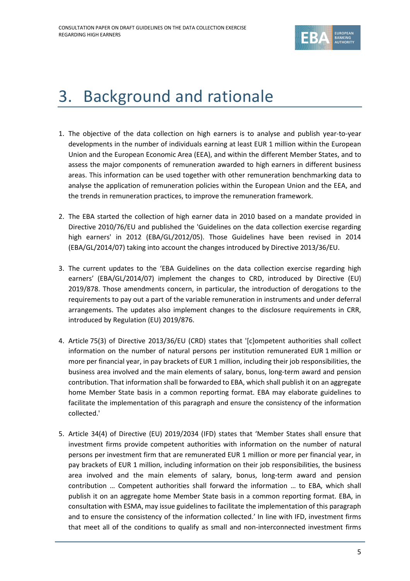

# 3. Background and rationale

- 1. The objective of the data collection on high earners is to analyse and publish year-to-year developments in the number of individuals earning at least EUR 1 million within the European Union and the European Economic Area (EEA), and within the different Member States, and to assess the major components of remuneration awarded to high earners in different business areas. This information can be used together with other remuneration benchmarking data to analyse the application of remuneration policies within the European Union and the EEA, and the trends in remuneration practices, to improve the remuneration framework.
- 2. The EBA started the collection of high earner data in 2010 based on a mandate provided in Directive 2010/76/EU and published the 'Guidelines on the data collection exercise regarding high earners' in 2012 (EBA/GL/2012/05). Those Guidelines have been revised in 2014 (EBA/GL/2014/07) taking into account the changes introduced by Directive 2013/36/EU.
- 3. The current updates to the 'EBA Guidelines on the data collection exercise regarding high earners' (EBA/GL/2014/07) implement the changes to CRD, introduced by Directive (EU) 2019/878. Those amendments concern, in particular, the introduction of derogations to the requirements to pay out a part of the variable remuneration in instruments and under deferral arrangements. The updates also implement changes to the disclosure requirements in CRR, introduced by Regulation (EU) 2019/876.
- 4. Article 75(3) of Directive 2013/36/EU (CRD) states that '[c]ompetent authorities shall collect information on the number of natural persons per institution remunerated EUR 1 million or more per financial year, in pay brackets of EUR 1 million, including their job responsibilities, the business area involved and the main elements of salary, bonus, long-term award and pension contribution. That information shall be forwarded to EBA, which shall publish it on an aggregate home Member State basis in a common reporting format. EBA may elaborate guidelines to facilitate the implementation of this paragraph and ensure the consistency of the information collected.'
- 5. Article 34(4) of Directive (EU) 2019/2034 (IFD) states that 'Member States shall ensure that investment firms provide competent authorities with information on the number of natural persons per investment firm that are remunerated EUR 1 million or more per financial year, in pay brackets of EUR 1 million, including information on their job responsibilities, the business area involved and the main elements of salary, bonus, long-term award and pension contribution … Competent authorities shall forward the information … to EBA, which shall publish it on an aggregate home Member State basis in a common reporting format. EBA, in consultation with ESMA, may issue guidelines to facilitate the implementation of this paragraph and to ensure the consistency of the information collected.' In line with IFD, investment firms that meet all of the conditions to qualify as small and non-interconnected investment firms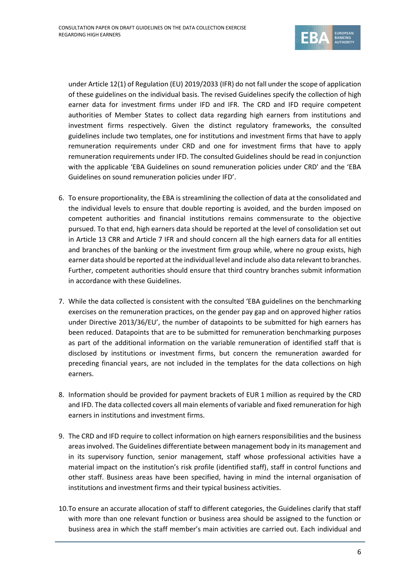

under Article 12(1) of Regulation (EU) 2019/2033 (IFR) do not fall under the scope of application of these guidelines on the individual basis. The revised Guidelines specify the collection of high earner data for investment firms under IFD and IFR. The CRD and IFD require competent authorities of Member States to collect data regarding high earners from institutions and investment firms respectively. Given the distinct regulatory frameworks, the consulted guidelines include two templates, one for institutions and investment firms that have to apply remuneration requirements under CRD and one for investment firms that have to apply remuneration requirements under IFD. The consulted Guidelines should be read in conjunction with the applicable 'EBA Guidelines on sound remuneration policies under CRD' and the 'EBA Guidelines on sound remuneration policies under IFD'.

- 6. To ensure proportionality, the EBA is streamlining the collection of data at the consolidated and the individual levels to ensure that double reporting is avoided, and the burden imposed on competent authorities and financial institutions remains commensurate to the objective pursued. To that end, high earners data should be reported at the level of consolidation set out in Article 13 CRR and Article 7 IFR and should concern all the high earners data for all entities and branches of the banking or the investment firm group while, where no group exists, high earner data should be reported at the individual level and include also data relevant to branches. Further, competent authorities should ensure that third country branches submit information in accordance with these Guidelines.
- 7. While the data collected is consistent with the consulted 'EBA guidelines on the benchmarking exercises on the remuneration practices, on the gender pay gap and on approved higher ratios under Directive 2013/36/EU', the number of datapoints to be submitted for high earners has been reduced. Datapoints that are to be submitted for remuneration benchmarking purposes as part of the additional information on the variable remuneration of identified staff that is disclosed by institutions or investment firms, but concern the remuneration awarded for preceding financial years, are not included in the templates for the data collections on high earners.
- 8. Information should be provided for payment brackets of EUR 1 million as required by the CRD and IFD. The data collected covers all main elements of variable and fixed remuneration for high earners in institutions and investment firms.
- 9. The CRD and IFD require to collect information on high earners responsibilities and the business areas involved. The Guidelines differentiate between management body in its management and in its supervisory function, senior management, staff whose professional activities have a material impact on the institution's risk profile (identified staff), staff in control functions and other staff. Business areas have been specified, having in mind the internal organisation of institutions and investment firms and their typical business activities.
- 10.To ensure an accurate allocation of staff to different categories, the Guidelines clarify that staff with more than one relevant function or business area should be assigned to the function or business area in which the staff member's main activities are carried out. Each individual and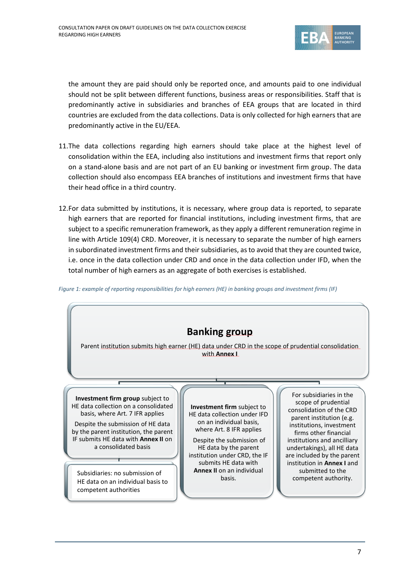

the amount they are paid should only be reported once, and amounts paid to one individual should not be split between different functions, business areas or responsibilities. Staff that is predominantly active in subsidiaries and branches of EEA groups that are located in third countries are excluded from the data collections. Data is only collected for high earners that are predominantly active in the EU/EEA.

- 11.The data collections regarding high earners should take place at the highest level of consolidation within the EEA, including also institutions and investment firms that report only on a stand-alone basis and are not part of an EU banking or investment firm group. The data collection should also encompass EEA branches of institutions and investment firms that have their head office in a third country.
- 12.For data submitted by institutions, it is necessary, where group data is reported, to separate high earners that are reported for financial institutions, including investment firms, that are subject to a specific remuneration framework, as they apply a different remuneration regime in line with Article 109(4) CRD. Moreover, it is necessary to separate the number of high earners in subordinated investment firms and their subsidiaries, as to avoid that they are counted twice, i.e. once in the data collection under CRD and once in the data collection under IFD, when the total number of high earners as an aggregate of both exercises is established.

*Figure 1: example of reporting responsibilities for high earners (HE) in banking groups and investment firms (IF)*

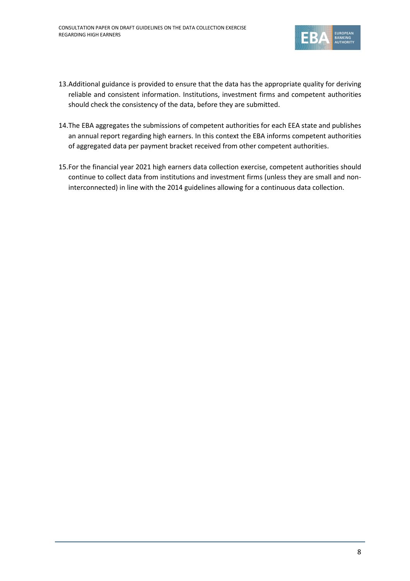

- 13.Additional guidance is provided to ensure that the data has the appropriate quality for deriving reliable and consistent information. Institutions, investment firms and competent authorities should check the consistency of the data, before they are submitted.
- 14.The EBA aggregates the submissions of competent authorities for each EEA state and publishes an annual report regarding high earners. In this context the EBA informs competent authorities of aggregated data per payment bracket received from other competent authorities.
- 15.For the financial year 2021 high earners data collection exercise, competent authorities should continue to collect data from institutions and investment firms (unless they are small and noninterconnected) in line with the 2014 guidelines allowing for a continuous data collection.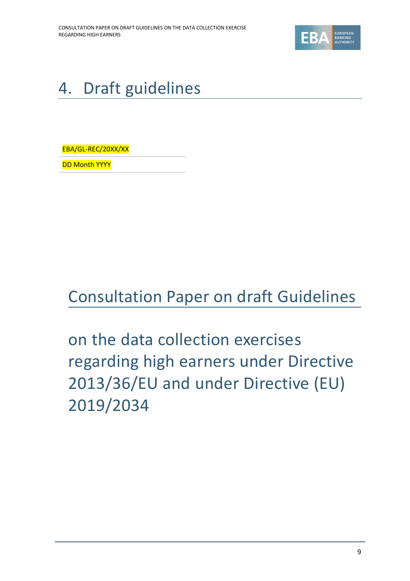

# 4. Draft guidelines

EBA/GL-REC/20XX/XX

DD Month YYYY

# Consultation Paper on draft Guidelines

on the data collection exercises regarding high earners under Directive 2013/36/EU and under Directive (EU) 2019/2034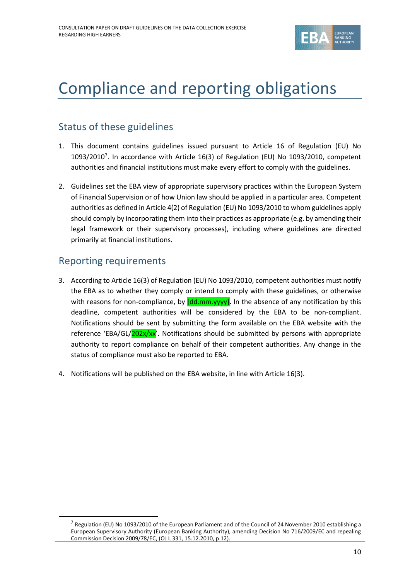

## Compliance and reporting obligations

### Status of these guidelines

- 1. This document contains guidelines issued pursuant to Article 16 of Regulation (EU) No  $1093/2010<sup>7</sup>$ . In accordance with Article 16(3) of Regulation (EU) No 1093/2010, competent authorities and financial institutions must make every effort to comply with the guidelines.
- 2. Guidelines set the EBA view of appropriate supervisory practices within the European System of Financial Supervision or of how Union law should be applied in a particular area. Competent authorities as defined in Article 4(2) of Regulation (EU) No 1093/2010 to whom guidelines apply should comply by incorporating them into their practices as appropriate (e.g. by amending their legal framework or their supervisory processes), including where guidelines are directed primarily at financial institutions.

#### Reporting requirements

- 3. According to Article 16(3) of Regulation (EU) No 1093/2010, competent authorities must notify the EBA as to whether they comply or intend to comply with these guidelines, or otherwise with reasons for non-compliance, by  $\left[\frac{dd \cdot m}{\gamma y}y\right]$ . In the absence of any notification by this deadline, competent authorities will be considered by the EBA to be non-compliant. Notifications should be sent by submitting the form available on the EBA website with the reference 'EBA/GL/202x/xx'. Notifications should be submitted by persons with appropriate authority to report compliance on behalf of their competent authorities. Any change in the status of compliance must also be reported to EBA.
- 4. Notifications will be published on the EBA website, in line with Article 16(3).

 $^7$  Regulation (EU) No 1093/2010 of the European Parliament and of the Council of 24 November 2010 establishing a European Supervisory Authority (European Banking Authority), amending Decision No 716/2009/EC and repealing Commission Decision 2009/78/EC, (OJ L 331, 15.12.2010, p.12).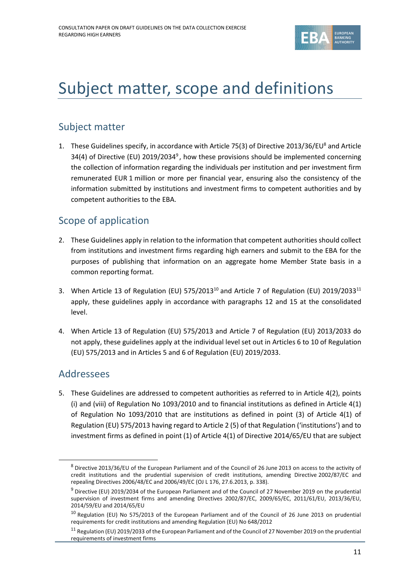

## Subject matter, scope and definitions

#### Subject matter

1. These Guidelines specify, in accordance with Article 75(3) of Directive 2013/36/EU<sup>8</sup> and Article 34(4) of Directive (EU) 2019/2034<sup>9</sup>, how these provisions should be implemented concerning the collection of information regarding the individuals per institution and per investment firm remunerated EUR 1 million or more per financial year, ensuring also the consistency of the information submitted by institutions and investment firms to competent authorities and by competent authorities to the EBA.

#### Scope of application

- 2. These Guidelines apply in relation to the information that competent authorities should collect from institutions and investment firms regarding high earners and submit to the EBA for the purposes of publishing that information on an aggregate home Member State basis in a common reporting format.
- 3. When Article 13 of Regulation (EU) 575/2013<sup>10</sup> and Article 7 of Regulation (EU) 2019/2033<sup>11</sup> apply, these guidelines apply in accordance with paragraphs 12 and 15 at the consolidated level.
- 4. When Article 13 of Regulation (EU) 575/2013 and Article 7 of Regulation (EU) 2013/2033 do not apply, these guidelines apply at the individual level set out in Articles 6 to 10 of Regulation (EU) 575/2013 and in Articles 5 and 6 of Regulation (EU) 2019/2033.

#### Addressees

5. These Guidelines are addressed to competent authorities as referred to in Article 4(2), points (i) and (viii) of Regulation No 1093/2010 and to financial institutions as defined in Article 4(1) of Regulation No 1093/2010 that are institutions as defined in point (3) of Article 4(1) of Regulation (EU) 575/2013 having regard to Article 2 (5) of that Regulation ('institutions') and to investment firms as defined in point (1) of Article 4(1) of Directive 2014/65/EU that are subject

<sup>8</sup> Directive 2013/36/EU of the European Parliament and of the Council of 26 June 2013 on access to the activity of credit institutions and the prudential supervision of credit institutions, amending Directive 2002/87/EC and repealing Directives 2006/48/EC and 2006/49/EC (OJ L 176, 27.6.2013, p. 338).

<sup>&</sup>lt;sup>9</sup> Directive (EU) 2019/2034 of the European Parliament and of the Council of 27 November 2019 on the prudential supervision of investment firms and amending Directives 2002/87/EC, 2009/65/EC, 2011/61/EU, 2013/36/EU, 2014/59/EU and 2014/65/EU

<sup>&</sup>lt;sup>10</sup> Regulation (EU) No 575/2013 of the European Parliament and of the Council of 26 June 2013 on prudential requirements for credit institutions and amending Regulation (EU) No 648/2012

<sup>&</sup>lt;sup>11</sup> Regulation (EU) 2019/2033 of the European Parliament and of the Council of 27 November 2019 on the prudential requirements of investment firms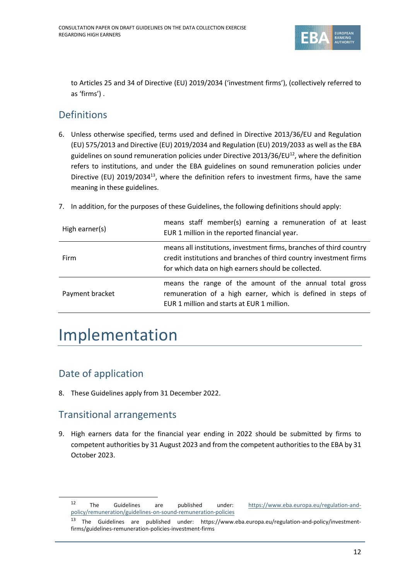

to Articles 25 and 34 of Directive (EU) 2019/2034 ('investment firms'), (collectively referred to as 'firms') .

#### **Definitions**

- 6. Unless otherwise specified, terms used and defined in Directive 2013/36/EU and Regulation (EU) 575/2013 and Directive (EU) 2019/2034 and Regulation (EU) 2019/2033 as well as the EBA guidelines on sound remuneration policies under Directive 2013/36/EU $^{12}$ , where the definition refers to institutions, and under the EBA guidelines on sound remuneration policies under Directive (EU) 2019/2034<sup>13</sup>, where the definition refers to investment firms, have the same meaning in these guidelines.
- 7. In addition, for the purposes of these Guidelines, the following definitions should apply:

| High earner(s)  | means staff member(s) earning a remuneration of at least<br>EUR 1 million in the reported financial year.                                                                                        |
|-----------------|--------------------------------------------------------------------------------------------------------------------------------------------------------------------------------------------------|
| Firm            | means all institutions, investment firms, branches of third country<br>credit institutions and branches of third country investment firms<br>for which data on high earners should be collected. |
| Payment bracket | means the range of the amount of the annual total gross<br>remuneration of a high earner, which is defined in steps of<br>EUR 1 million and starts at EUR 1 million.                             |

## Implementation

### Date of application

8. These Guidelines apply from 31 December 2022.

#### Transitional arrangements

9. High earners data for the financial year ending in 2022 should be submitted by firms to competent authorities by 31 August 2023 and from the competent authorities to the EBA by 31 October 2023.

<sup>12</sup> The Guidelines are published under: [https://www.eba.europa.eu/regulation-and](https://www.eba.europa.eu/regulation-and-policy/remuneration/guidelines-on-sound-remuneration-policies)[policy/remuneration/guidelines-on-sound-remuneration-policies](https://www.eba.europa.eu/regulation-and-policy/remuneration/guidelines-on-sound-remuneration-policies)

<sup>13</sup> The Guidelines are published under: [https://www.eba.europa.eu/regulation-and-policy/investment](https://www.eba.europa.eu/regulation-and-policy/investment-firms/guidelines-remuneration-policies-investment-firms)[firms/guidelines-remuneration-policies-investment-firms](https://www.eba.europa.eu/regulation-and-policy/investment-firms/guidelines-remuneration-policies-investment-firms)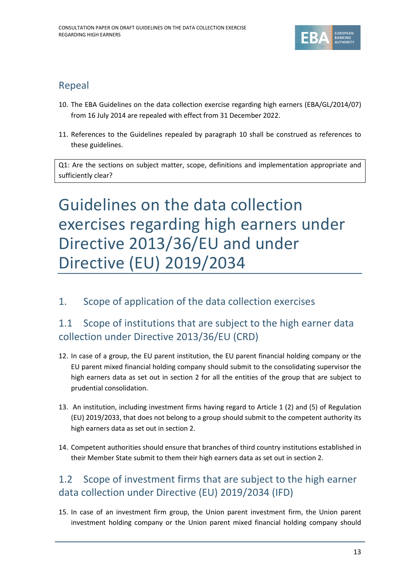

### Repeal

- 10. The EBA Guidelines on the data collection exercise regarding high earners (EBA/GL/2014/07) from 16 July 2014 are repealed with effect from 31 December 2022.
- 11. References to the Guidelines repealed by paragraph 10 shall be construed as references to these guidelines.

Q1: Are the sections on subject matter, scope, definitions and implementation appropriate and sufficiently clear?

# Guidelines on the data collection exercises regarding high earners under Directive 2013/36/EU and under Directive (EU) 2019/2034

#### 1. Scope of application of the data collection exercises

### 1.1 Scope of institutions that are subject to the high earner data collection under Directive 2013/36/EU (CRD)

- 12. In case of a group, the EU parent institution, the EU parent financial holding company or the EU parent mixed financial holding company should submit to the consolidating supervisor the high earners data as set out in section 2 for all the entities of the group that are subject to prudential consolidation.
- 13. An institution, including investment firms having regard to Article 1 (2) and (5) of Regulation (EU) 2019/2033, that does not belong to a group should submit to the competent authority its high earners data as set out in section 2.
- 14. Competent authorities should ensure that branches of third country institutions established in their Member State submit to them their high earners data as set out in section 2.

### 1.2 Scope of investment firms that are subject to the high earner data collection under Directive (EU) 2019/2034 (IFD)

15. In case of an investment firm group, the Union parent investment firm, the Union parent investment holding company or the Union parent mixed financial holding company should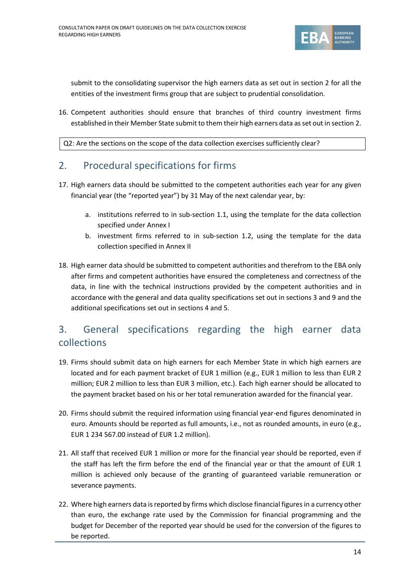

submit to the consolidating supervisor the high earners data as set out in section 2 for all the entities of the investment firms group that are subject to prudential consolidation.

16. Competent authorities should ensure that branches of third country investment firms established in their Member State submit to them their high earners data as set out in section 2.

Q2: Are the sections on the scope of the data collection exercises sufficiently clear?

#### 2. Procedural specifications for firms

- 17. High earners data should be submitted to the competent authorities each year for any given financial year (the "reported year") by 31 May of the next calendar year, by:
	- a. institutions referred to in sub-section 1.1, using the template for the data collection specified under Annex I
	- b. investment firms referred to in sub-section 1.2, using the template for the data collection specified in Annex II
- 18. High earner data should be submitted to competent authorities and therefrom to the EBA only after firms and competent authorities have ensured the completeness and correctness of the data, in line with the technical instructions provided by the competent authorities and in accordance with the general and data quality specifications set out in sections 3 and 9 and the additional specifications set out in sections 4 and 5.

### 3. General specifications regarding the high earner data collections

- 19. Firms should submit data on high earners for each Member State in which high earners are located and for each payment bracket of EUR 1 million (e.g., EUR 1 million to less than EUR 2 million; EUR 2 million to less than EUR 3 million, etc.). Each high earner should be allocated to the payment bracket based on his or her total remuneration awarded for the financial year.
- 20. Firms should submit the required information using financial year-end figures denominated in euro. Amounts should be reported as full amounts, i.e., not as rounded amounts, in euro (e.g., EUR 1 234 567.00 instead of EUR 1.2 million).
- 21. All staff that received EUR 1 million or more for the financial year should be reported, even if the staff has left the firm before the end of the financial year or that the amount of EUR 1 million is achieved only because of the granting of guaranteed variable remuneration or severance payments.
- 22. Where high earners data is reported by firms which disclose financial figures in a currency other than euro, the exchange rate used by the Commission for financial programming and the budget for December of the reported year should be used for the conversion of the figures to be reported.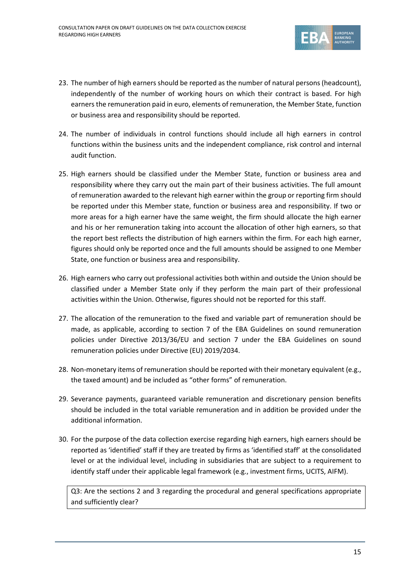

- 23. The number of high earners should be reported as the number of natural persons (headcount), independently of the number of working hours on which their contract is based. For high earners the remuneration paid in euro, elements of remuneration, the Member State, function or business area and responsibility should be reported.
- 24. The number of individuals in control functions should include all high earners in control functions within the business units and the independent compliance, risk control and internal audit function.
- 25. High earners should be classified under the Member State, function or business area and responsibility where they carry out the main part of their business activities. The full amount of remuneration awarded to the relevant high earner within the group or reporting firm should be reported under this Member state, function or business area and responsibility. If two or more areas for a high earner have the same weight, the firm should allocate the high earner and his or her remuneration taking into account the allocation of other high earners, so that the report best reflects the distribution of high earners within the firm. For each high earner, figures should only be reported once and the full amounts should be assigned to one Member State, one function or business area and responsibility.
- 26. High earners who carry out professional activities both within and outside the Union should be classified under a Member State only if they perform the main part of their professional activities within the Union. Otherwise, figures should not be reported for this staff.
- 27. The allocation of the remuneration to the fixed and variable part of remuneration should be made, as applicable, according to section 7 of the EBA Guidelines on sound remuneration policies under Directive 2013/36/EU and section 7 under the EBA Guidelines on sound remuneration policies under Directive (EU) 2019/2034.
- 28. Non-monetary items of remuneration should be reported with their monetary equivalent (e.g., the taxed amount) and be included as "other forms" of remuneration.
- 29. Severance payments, guaranteed variable remuneration and discretionary pension benefits should be included in the total variable remuneration and in addition be provided under the additional information.
- 30. For the purpose of the data collection exercise regarding high earners, high earners should be reported as 'identified' staff if they are treated by firms as 'identified staff' at the consolidated level or at the individual level, including in subsidiaries that are subject to a requirement to identify staff under their applicable legal framework (e.g., investment firms, UCITS, AIFM).

Q3: Are the sections 2 and 3 regarding the procedural and general specifications appropriate and sufficiently clear?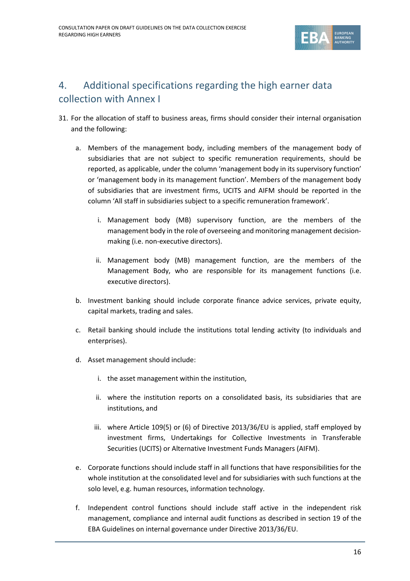

### 4. Additional specifications regarding the high earner data collection with Annex I

- 31. For the allocation of staff to business areas, firms should consider their internal organisation and the following:
	- a. Members of the management body, including members of the management body of subsidiaries that are not subject to specific remuneration requirements, should be reported, as applicable, under the column 'management body in its supervisory function' or 'management body in its management function'. Members of the management body of subsidiaries that are investment firms, UCITS and AIFM should be reported in the column 'All staff in subsidiaries subject to a specific remuneration framework'.
		- i. Management body (MB) supervisory function, are the members of the management body in the role of overseeing and monitoring management decisionmaking (i.e. non-executive directors).
		- ii. Management body (MB) management function, are the members of the Management Body, who are responsible for its management functions (i.e. executive directors).
	- b. Investment banking should include corporate finance advice services, private equity, capital markets, trading and sales.
	- c. Retail banking should include the institutions total lending activity (to individuals and enterprises).
	- d. Asset management should include:
		- i. the asset management within the institution,
		- ii. where the institution reports on a consolidated basis, its subsidiaries that are institutions, and
		- iii. where Article 109(5) or (6) of Directive 2013/36/EU is applied, staff employed by investment firms, Undertakings for Collective Investments in Transferable Securities (UCITS) or Alternative Investment Funds Managers (AIFM).
	- e. Corporate functions should include staff in all functions that have responsibilities for the whole institution at the consolidated level and for subsidiaries with such functions at the solo level, e.g. human resources, information technology.
	- f. Independent control functions should include staff active in the independent risk management, compliance and internal audit functions as described in section 19 of the EBA Guidelines on internal governance under Directive 2013/36/EU.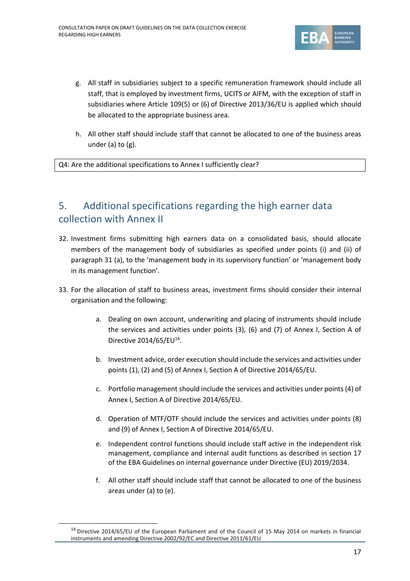

- g. All staff in subsidiaries subject to a specific remuneration framework should include all staff, that is employed by investment firms, UCITS or AIFM, with the exception of staff in subsidiaries where Article 109(5) or (6) of Directive 2013/36/EU is applied which should be allocated to the appropriate business area.
- h. All other staff should include staff that cannot be allocated to one of the business areas under (a) to (g).

Q4: Are the additional specifications to Annex I sufficiently clear?

### 5. Additional specifications regarding the high earner data collection with Annex II

- 32. Investment firms submitting high earners data on a consolidated basis, should allocate members of the management body of subsidiaries as specified under points (i) and (ii) of paragraph 31 (a), to the 'management body in its supervisory function' or 'management body in its management function'.
- 33. For the allocation of staff to business areas, investment firms should consider their internal organisation and the following:
	- a. Dealing on own account, underwriting and placing of instruments should include the services and activities under points (3), (6) and (7) of Annex I, Section A of Directive 2014/65/EU<sup>14</sup>.
	- b. Investment advice, order execution should include the services and activities under points (1), (2) and (5) of Annex I, Section A of Directive 2014/65/EU.
	- c. Portfolio management should include the services and activities under points (4) of Annex I, Section A of Directive 2014/65/EU.
	- d. Operation of MTF/OTF should include the services and activities under points (8) and (9) of Annex I, Section A of Directive 2014/65/EU.
	- e. Independent control functions should include staff active in the independent risk management, compliance and internal audit functions as described in section 17 of the EBA Guidelines on internal governance under Directive (EU) 2019/2034.
	- f. All other staff should include staff that cannot be allocated to one of the business areas under (a) to (e).

<sup>&</sup>lt;sup>14</sup> Directive 2014/65/EU of the European Parliament and of the Council of 15 May 2014 on markets in financial instruments and amending Directive 2002/92/EC and Directive 2011/61/EU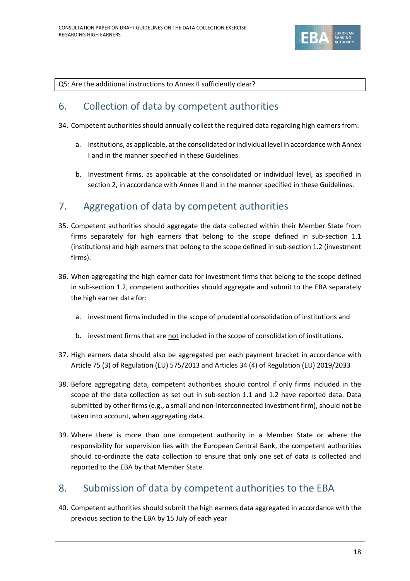

Q5: Are the additional instructions to Annex II sufficiently clear?

#### 6. Collection of data by competent authorities

- 34. Competent authorities should annually collect the required data regarding high earners from:
	- a. Institutions, as applicable, at the consolidated or individual level in accordance with Annex I and in the manner specified in these Guidelines.
	- b. Investment firms, as applicable at the consolidated or individual level, as specified in section 2, in accordance with Annex II and in the manner specified in these Guidelines.

#### 7. Aggregation of data by competent authorities

- 35. Competent authorities should aggregate the data collected within their Member State from firms separately for high earners that belong to the scope defined in sub-section 1.1 (institutions) and high earners that belong to the scope defined in sub-section 1.2 (investment firms).
- 36. When aggregating the high earner data for investment firms that belong to the scope defined in sub-section 1.2, competent authorities should aggregate and submit to the EBA separately the high earner data for:
	- a. investment firms included in the scope of prudential consolidation of institutions and
	- b. investment firms that are not included in the scope of consolidation of institutions.
- 37. High earners data should also be aggregated per each payment bracket in accordance with Article 75 (3) of Regulation (EU) 575/2013 and Articles 34 (4) of Regulation (EU) 2019/2033
- 38. Before aggregating data, competent authorities should control if only firms included in the scope of the data collection as set out in sub-section 1.1 and 1.2 have reported data. Data submitted by other firms (e.g., a small and non-interconnected investment firm), should not be taken into account, when aggregating data.
- 39. Where there is more than one competent authority in a Member State or where the responsibility for supervision lies with the European Central Bank, the competent authorities should co-ordinate the data collection to ensure that only one set of data is collected and reported to the EBA by that Member State.

### 8. Submission of data by competent authorities to the EBA

40. Competent authorities should submit the high earners data aggregated in accordance with the previous section to the EBA by 15 July of each year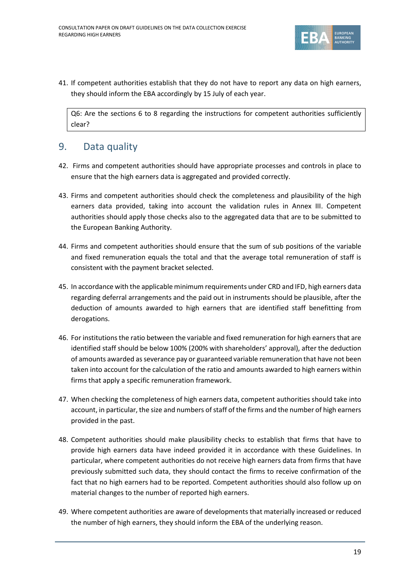

41. If competent authorities establish that they do not have to report any data on high earners, they should inform the EBA accordingly by 15 July of each year.

Q6: Are the sections 6 to 8 regarding the instructions for competent authorities sufficiently clear?

#### 9. Data quality

- 42. Firms and competent authorities should have appropriate processes and controls in place to ensure that the high earners data is aggregated and provided correctly.
- 43. Firms and competent authorities should check the completeness and plausibility of the high earners data provided, taking into account the validation rules in Annex III. Competent authorities should apply those checks also to the aggregated data that are to be submitted to the European Banking Authority.
- 44. Firms and competent authorities should ensure that the sum of sub positions of the variable and fixed remuneration equals the total and that the average total remuneration of staff is consistent with the payment bracket selected.
- 45. In accordance with the applicable minimum requirements under CRD and IFD, high earners data regarding deferral arrangements and the paid out in instruments should be plausible, after the deduction of amounts awarded to high earners that are identified staff benefitting from derogations.
- 46. For institutions the ratio between the variable and fixed remuneration for high earners that are identified staff should be below 100% (200% with shareholders' approval), after the deduction of amounts awarded as severance pay or guaranteed variable remuneration that have not been taken into account for the calculation of the ratio and amounts awarded to high earners within firms that apply a specific remuneration framework.
- 47. When checking the completeness of high earners data, competent authorities should take into account, in particular, the size and numbers of staff of the firms and the number of high earners provided in the past.
- 48. Competent authorities should make plausibility checks to establish that firms that have to provide high earners data have indeed provided it in accordance with these Guidelines. In particular, where competent authorities do not receive high earners data from firms that have previously submitted such data, they should contact the firms to receive confirmation of the fact that no high earners had to be reported. Competent authorities should also follow up on material changes to the number of reported high earners.
- 49. Where competent authorities are aware of developments that materially increased or reduced the number of high earners, they should inform the EBA of the underlying reason.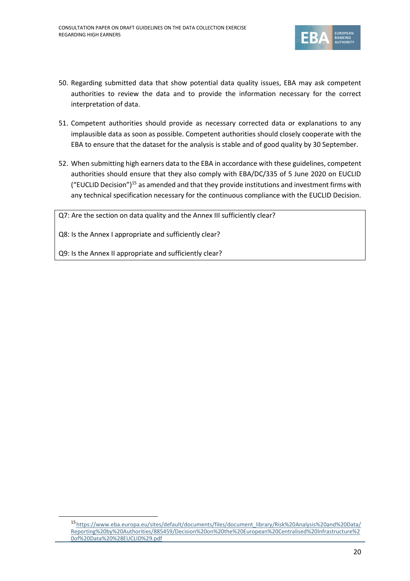

- 50. Regarding submitted data that show potential data quality issues, EBA may ask competent authorities to review the data and to provide the information necessary for the correct interpretation of data.
- 51. Competent authorities should provide as necessary corrected data or explanations to any implausible data as soon as possible. Competent authorities should closely cooperate with the EBA to ensure that the dataset for the analysis is stable and of good quality by 30 September.
- 52. When submitting high earners data to the EBA in accordance with these guidelines, competent authorities should ensure that they also comply with EBA/DC/335 of 5 June 2020 on EUCLID ("EUCLID Decision")<sup>15</sup> as amended and that they provide institutions and investment firms with any technical specification necessary for the continuous compliance with the EUCLID Decision.

Q7: Are the section on data quality and the Annex III sufficiently clear?

Q8: Is the Annex I appropriate and sufficiently clear?

Q9: Is the Annex II appropriate and sufficiently clear?

<sup>15</sup>[https://www.eba.europa.eu/sites/default/documents/files/document\\_library/Risk%20Analysis%20and%20Data/](https://www.eba.europa.eu/sites/default/documents/files/document_library/Risk%20Analysis%20and%20Data/Reporting%20by%20Authorities/885459/Decision%20on%20the%20European%20Centralised%20Infrastructure%20of%20Data%20%28EUCLID%29.pdf) [Reporting%20by%20Authorities/885459/Decision%20on%20the%20European%20Centralised%20Infrastructure%2](https://www.eba.europa.eu/sites/default/documents/files/document_library/Risk%20Analysis%20and%20Data/Reporting%20by%20Authorities/885459/Decision%20on%20the%20European%20Centralised%20Infrastructure%20of%20Data%20%28EUCLID%29.pdf) [0of%20Data%20%28EUCLID%29.pdf](https://www.eba.europa.eu/sites/default/documents/files/document_library/Risk%20Analysis%20and%20Data/Reporting%20by%20Authorities/885459/Decision%20on%20the%20European%20Centralised%20Infrastructure%20of%20Data%20%28EUCLID%29.pdf)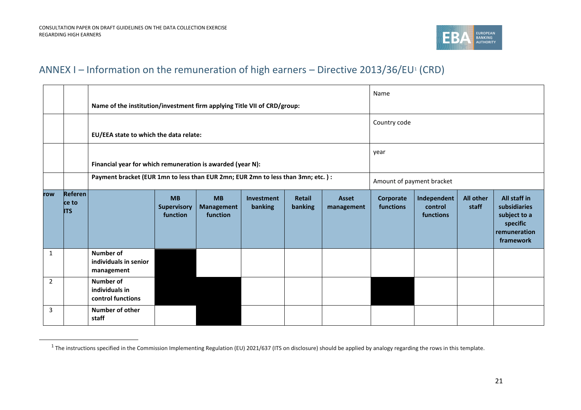

#### ANNEX I – Information on the remuneration of high earners – Directive 2013/36/EU<sup>1</sup> (CRD)

|                |                                | Name of the institution/investment firm applying Title VII of CRD/group:         |                                      |                                            |                            |                        |                                     | Name                      |                                                                                       |  |  |  |
|----------------|--------------------------------|----------------------------------------------------------------------------------|--------------------------------------|--------------------------------------------|----------------------------|------------------------|-------------------------------------|---------------------------|---------------------------------------------------------------------------------------|--|--|--|
|                |                                | EU/EEA state to which the data relate:                                           |                                      |                                            |                            |                        |                                     | Country code              |                                                                                       |  |  |  |
|                |                                | Financial year for which remuneration is awarded (year N):                       |                                      |                                            |                            |                        | year                                |                           |                                                                                       |  |  |  |
|                |                                | Payment bracket (EUR 1mn to less than EUR 2mn; EUR 2mn to less than 3mn; etc.) : |                                      |                                            |                            |                        |                                     | Amount of payment bracket |                                                                                       |  |  |  |
| row            | Referen<br>ce to<br><b>ITS</b> |                                                                                  | <b>MB</b><br>Supervisory<br>function | <b>MB</b><br><b>Management</b><br>function | <b>Asset</b><br>management | Corporate<br>functions | Independent<br>control<br>functions | <b>All other</b><br>staff | All staff in<br>subsidiaries<br>subject to a<br>specific<br>remuneration<br>framework |  |  |  |
| $\mathbf{1}$   |                                | <b>Number of</b><br>individuals in senior<br>management                          |                                      |                                            |                            |                        |                                     |                           |                                                                                       |  |  |  |
| $\overline{2}$ |                                | <b>Number of</b><br>individuals in<br>control functions                          |                                      |                                            |                            |                        |                                     |                           |                                                                                       |  |  |  |
| 3              |                                | <b>Number of other</b><br>staff                                                  |                                      |                                            |                            |                        |                                     |                           |                                                                                       |  |  |  |

<sup>&</sup>lt;sup>1</sup> The instructions specified in the Commission Implementing Regulation (EU) 2021/637 (ITS on disclosure) should be applied by analogy regarding the rows in this template.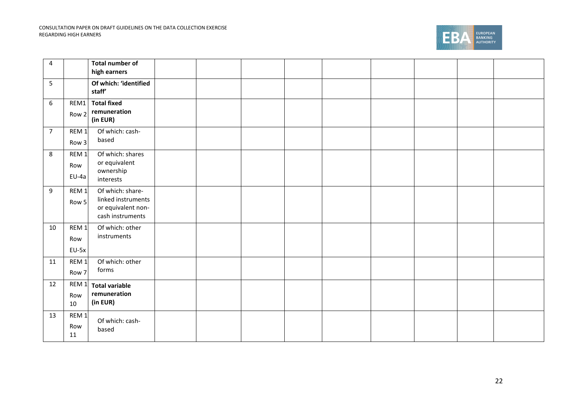

| $\pmb{4}$      |                                    | <b>Total number of</b><br>high earners                                           |  |  |  |  |  |
|----------------|------------------------------------|----------------------------------------------------------------------------------|--|--|--|--|--|
| 5              |                                    | Of which: 'identified<br>staff'                                                  |  |  |  |  |  |
| 6              | REM1<br>Row 2                      | <b>Total fixed</b><br>remuneration<br>(in EUR)                                   |  |  |  |  |  |
| $\overline{7}$ | REM <sub>1</sub><br>Row 3          | Of which: cash-<br>based                                                         |  |  |  |  |  |
| 8              | REM <sub>1</sub><br>Row<br>EU-4a   | Of which: shares<br>or equivalent<br>ownership<br>interests                      |  |  |  |  |  |
| 9              | REM <sub>1</sub><br>Row 5          | Of which: share-<br>linked instruments<br>or equivalent non-<br>cash instruments |  |  |  |  |  |
| 10             | REM <sub>1</sub><br>Row<br>$EU-5x$ | Of which: other<br>instruments                                                   |  |  |  |  |  |
| 11             | REM <sub>1</sub><br>Row 7          | Of which: other<br>forms                                                         |  |  |  |  |  |
| 12             | REM 1<br>Row<br>10                 | <b>Total variable</b><br>remuneration<br>(in EUR)                                |  |  |  |  |  |
| 13             | REM <sub>1</sub><br>Row<br>11      | Of which: cash-<br>based                                                         |  |  |  |  |  |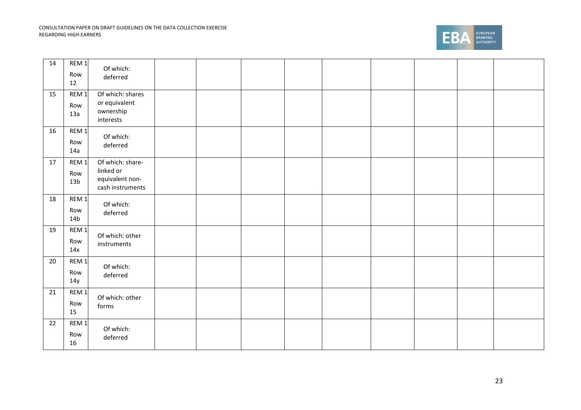

| 14 | REM <sub>1</sub><br>Row<br>12              | Of which:<br>deferred                                                |  |  |  |  |  |
|----|--------------------------------------------|----------------------------------------------------------------------|--|--|--|--|--|
| 15 | REM <sub>1</sub><br>Row<br>13a             | Of which: shares<br>or equivalent<br>ownership<br>interests          |  |  |  |  |  |
| 16 | REM <sub>1</sub><br>Row<br>14a             | Of which:<br>deferred                                                |  |  |  |  |  |
| 17 | REM <sub>1</sub><br>Row<br>13 <sub>b</sub> | Of which: share-<br>linked or<br>equivalent non-<br>cash instruments |  |  |  |  |  |
| 18 | REM <sub>1</sub><br>Row<br>14 <sub>b</sub> | Of which:<br>deferred                                                |  |  |  |  |  |
| 19 | REM <sub>1</sub><br>Row<br>14x             | Of which: other<br>instruments                                       |  |  |  |  |  |
| 20 | REM <sub>1</sub><br>Row<br>14y             | Of which:<br>deferred                                                |  |  |  |  |  |
| 21 | REM <sub>1</sub><br>Row<br>15              | Of which: other<br>forms                                             |  |  |  |  |  |
| 22 | REM <sub>1</sub><br>Row<br>16              | Of which:<br>deferred                                                |  |  |  |  |  |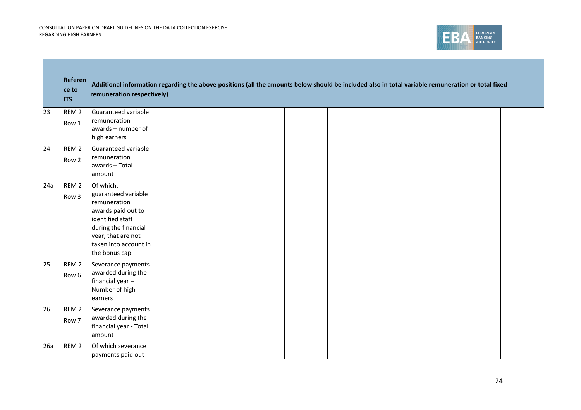

|     | <b>Referen</b><br>ce to<br><b>ITS</b> | Additional information regarding the above positions (all the amounts below should be included also in total variable remuneration or total fixed<br>remuneration respectively)    |  |  |  |  |  |
|-----|---------------------------------------|------------------------------------------------------------------------------------------------------------------------------------------------------------------------------------|--|--|--|--|--|
| 23  | REM <sub>2</sub><br>Row 1             | Guaranteed variable<br>remuneration<br>awards - number of<br>high earners                                                                                                          |  |  |  |  |  |
| 24  | REM <sub>2</sub><br>Row 2             | Guaranteed variable<br>remuneration<br>awards - Total<br>amount                                                                                                                    |  |  |  |  |  |
| 24a | REM <sub>2</sub><br>Row <sub>3</sub>  | Of which:<br>guaranteed variable<br>remuneration<br>awards paid out to<br>identified staff<br>during the financial<br>year, that are not<br>taken into account in<br>the bonus cap |  |  |  |  |  |
| 25  | REM <sub>2</sub><br>Row <sub>6</sub>  | Severance payments<br>awarded during the<br>financial year-<br>Number of high<br>earners                                                                                           |  |  |  |  |  |
| 26  | REM <sub>2</sub><br>Row 7             | Severance payments<br>awarded during the<br>financial year - Total<br>amount                                                                                                       |  |  |  |  |  |
| 26a | REM <sub>2</sub>                      | Of which severance<br>payments paid out                                                                                                                                            |  |  |  |  |  |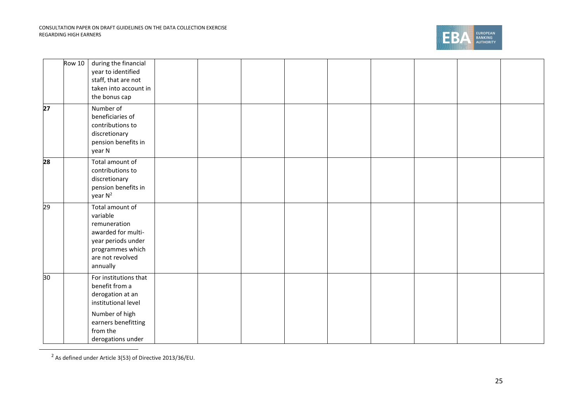

|                 | <b>Row 10</b> | during the financial<br>year to identified<br>staff, that are not<br>taken into account in<br>the bonus cap                                                  |  |  |  |  |  |
|-----------------|---------------|--------------------------------------------------------------------------------------------------------------------------------------------------------------|--|--|--|--|--|
| $\overline{27}$ |               | Number of<br>beneficiaries of<br>contributions to<br>discretionary<br>pension benefits in<br>year N                                                          |  |  |  |  |  |
| 28              |               | Total amount of<br>contributions to<br>discretionary<br>pension benefits in<br>year N <sup>2</sup>                                                           |  |  |  |  |  |
| 29              |               | Total amount of<br>variable<br>remuneration<br>awarded for multi-<br>year periods under<br>programmes which<br>are not revolved<br>annually                  |  |  |  |  |  |
| 30              |               | For institutions that<br>benefit from a<br>derogation at an<br>institutional level<br>Number of high<br>earners benefitting<br>from the<br>derogations under |  |  |  |  |  |

 $2$  As defined under Article 3(53) of Directive 2013/36/EU.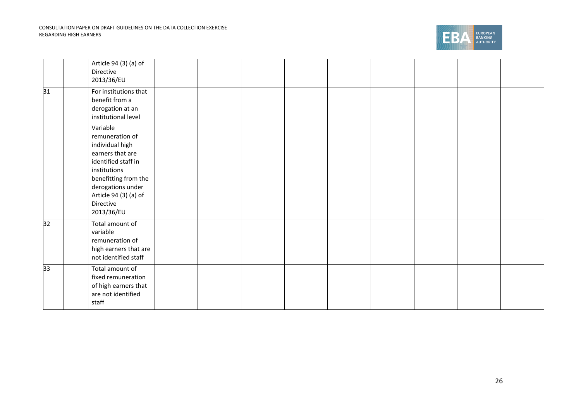

|    | Article 94 (3) (a) of<br>Directive<br>2013/36/EU                                                                                                                                                           |  |  |  |  |  |
|----|------------------------------------------------------------------------------------------------------------------------------------------------------------------------------------------------------------|--|--|--|--|--|
| 31 | For institutions that<br>benefit from a<br>derogation at an<br>institutional level                                                                                                                         |  |  |  |  |  |
|    | Variable<br>remuneration of<br>individual high<br>earners that are<br>identified staff in<br>institutions<br>benefitting from the<br>derogations under<br>Article 94 (3) (a) of<br>Directive<br>2013/36/EU |  |  |  |  |  |
| 32 | Total amount of<br>variable<br>remuneration of<br>high earners that are<br>not identified staff                                                                                                            |  |  |  |  |  |
| 33 | Total amount of<br>fixed remuneration<br>of high earners that<br>are not identified<br>staff                                                                                                               |  |  |  |  |  |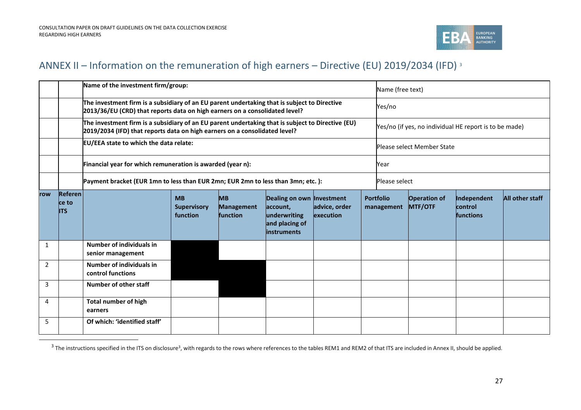

### ANNEX II – Information on the remuneration of high earners – Directive (EU) 2019/2034 (IFD) <sup>3</sup>

|                |                                | Name of the investment firm/group:                                                                                                                                                                                 |  |  |  | Name (free text) |  |                                |                                                        |                                                   |                 |  |  |
|----------------|--------------------------------|--------------------------------------------------------------------------------------------------------------------------------------------------------------------------------------------------------------------|--|--|--|------------------|--|--------------------------------|--------------------------------------------------------|---------------------------------------------------|-----------------|--|--|
|                |                                | The investment firm is a subsidiary of an EU parent undertaking that is subject to Directive<br>2013/36/EU (CRD) that reports data on high earners on a consolidated level?                                        |  |  |  |                  |  | Yes/no                         |                                                        |                                                   |                 |  |  |
|                |                                | The investment firm is a subsidiary of an EU parent undertaking that is subject to Directive (EU)<br>2019/2034 (IFD) that reports data on high earners on a consolidated level?                                    |  |  |  |                  |  |                                | Yes/no (if yes, no individual HE report is to be made) |                                                   |                 |  |  |
|                |                                | EU/EEA state to which the data relate:                                                                                                                                                                             |  |  |  |                  |  | Please select Member State     |                                                        |                                                   |                 |  |  |
|                |                                | Financial year for which remuneration is awarded (year n):                                                                                                                                                         |  |  |  |                  |  | Year                           |                                                        |                                                   |                 |  |  |
|                |                                | Payment bracket (EUR 1mn to less than EUR 2mn; EUR 2mn to less than 3mn; etc.):                                                                                                                                    |  |  |  | Please select    |  |                                |                                                        |                                                   |                 |  |  |
| row            | Referen<br>ce to<br><b>ITS</b> | <b>MB</b><br><b>MB</b><br>Dealing on own Investment<br>advice, order<br><b>Supervisory</b><br>account,<br><b>Management</b><br>function<br>underwriting<br>function<br>execution<br>and placing of<br>linstruments |  |  |  |                  |  | <b>Portfolio</b><br>management | <b>Operation of</b><br><b>MTF/OTF</b>                  | Independent<br><b>control</b><br><b>functions</b> | All other staff |  |  |
| 1              |                                | Number of individuals in<br>senior management                                                                                                                                                                      |  |  |  |                  |  |                                |                                                        |                                                   |                 |  |  |
| $\overline{2}$ |                                | Number of individuals in<br>control functions                                                                                                                                                                      |  |  |  |                  |  |                                |                                                        |                                                   |                 |  |  |
| 3              |                                | Number of other staff                                                                                                                                                                                              |  |  |  |                  |  |                                |                                                        |                                                   |                 |  |  |
| 4              |                                | <b>Total number of high</b><br>earners                                                                                                                                                                             |  |  |  |                  |  |                                |                                                        |                                                   |                 |  |  |
| 5              |                                | Of which: 'identified staff'                                                                                                                                                                                       |  |  |  |                  |  |                                |                                                        |                                                   |                 |  |  |

<sup>&</sup>lt;sup>3</sup> The instructions specified in the ITS on disclosure<sup>3</sup>, with regards to the rows where references to the tables REM1 and REM2 of that ITS are included in Annex II, should be applied.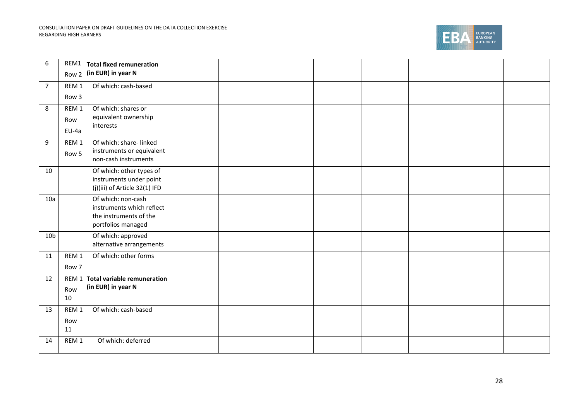#### CONSULTATION PAPER ON DRAFT GUIDELINES ON THE DATA COLLECTION EXERCISE REGARDING HIGH EARNERS



| 6               | REM1             | <b>Total fixed remuneration</b>                          |  |  |  |  |
|-----------------|------------------|----------------------------------------------------------|--|--|--|--|
|                 | Row 2            | (in EUR) in year N                                       |  |  |  |  |
| $\overline{7}$  | REM <sub>1</sub> | Of which: cash-based                                     |  |  |  |  |
|                 | Row 3            |                                                          |  |  |  |  |
| 8               | REM <sub>1</sub> | Of which: shares or                                      |  |  |  |  |
|                 | Row              | equivalent ownership<br>interests                        |  |  |  |  |
|                 | EU-4a            |                                                          |  |  |  |  |
| 9               | REM <sub>1</sub> | Of which: share- linked                                  |  |  |  |  |
|                 | Row 5            | instruments or equivalent<br>non-cash instruments        |  |  |  |  |
| 10              |                  | Of which: other types of                                 |  |  |  |  |
|                 |                  | instruments under point<br>(j)(iii) of Article 32(1) IFD |  |  |  |  |
| 10a             |                  | Of which: non-cash                                       |  |  |  |  |
|                 |                  | instruments which reflect<br>the instruments of the      |  |  |  |  |
|                 |                  | portfolios managed                                       |  |  |  |  |
| 10 <sub>b</sub> |                  | Of which: approved                                       |  |  |  |  |
|                 |                  | alternative arrangements                                 |  |  |  |  |
| 11              | REM <sub>1</sub> | Of which: other forms                                    |  |  |  |  |
|                 | Row 7            |                                                          |  |  |  |  |
| 12              | REM <sub>1</sub> | <b>Total variable remuneration</b>                       |  |  |  |  |
|                 | Row              | (in EUR) in year N                                       |  |  |  |  |
|                 | 10               |                                                          |  |  |  |  |
| 13              | REM <sub>1</sub> | Of which: cash-based                                     |  |  |  |  |
|                 | Row              |                                                          |  |  |  |  |
|                 | 11               |                                                          |  |  |  |  |
| 14              | REM <sub>1</sub> | Of which: deferred                                       |  |  |  |  |
|                 |                  |                                                          |  |  |  |  |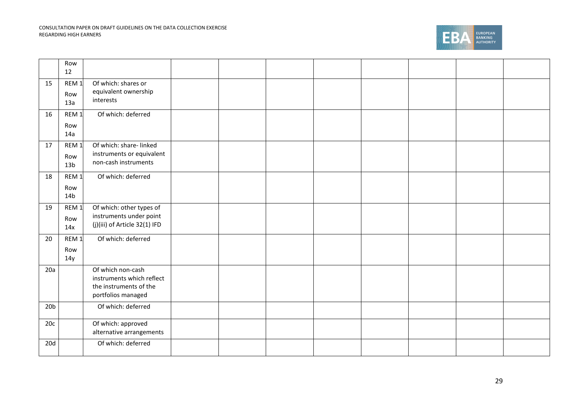#### CONSULTATION PAPER ON DRAFT GUIDELINES ON THE DATA COLLECTION EXERCISE REGARDING HIGH EARNERS

 $\mathbf{\mathbf{\mathbf{\mathbf{\mathbf{-}}}}}$ 



۰.

|                 | Row<br>12                                  |                                                                                                |  |  |  |  |
|-----------------|--------------------------------------------|------------------------------------------------------------------------------------------------|--|--|--|--|
| 15              | REM <sub>1</sub><br>Row<br>13a             | Of which: shares or<br>equivalent ownership<br>interests                                       |  |  |  |  |
| 16              | REM <sub>1</sub><br>Row<br>14a             | Of which: deferred                                                                             |  |  |  |  |
| 17              | REM <sub>1</sub><br>Row<br>13 <sub>b</sub> | Of which: share- linked<br>instruments or equivalent<br>non-cash instruments                   |  |  |  |  |
| 18              | REM <sub>1</sub><br>Row<br>14 <sub>b</sub> | Of which: deferred                                                                             |  |  |  |  |
| 19              | REM <sub>1</sub><br>Row<br>14x             | Of which: other types of<br>instruments under point<br>(j)(iii) of Article 32(1) IFD           |  |  |  |  |
| 20              | REM <sub>1</sub><br>Row<br>14y             | Of which: deferred                                                                             |  |  |  |  |
| 20a             |                                            | Of which non-cash<br>instruments which reflect<br>the instruments of the<br>portfolios managed |  |  |  |  |
| 20 <sub>b</sub> |                                            | Of which: deferred                                                                             |  |  |  |  |
| 20c             |                                            | Of which: approved<br>alternative arrangements                                                 |  |  |  |  |
| 20d             |                                            | Of which: deferred                                                                             |  |  |  |  |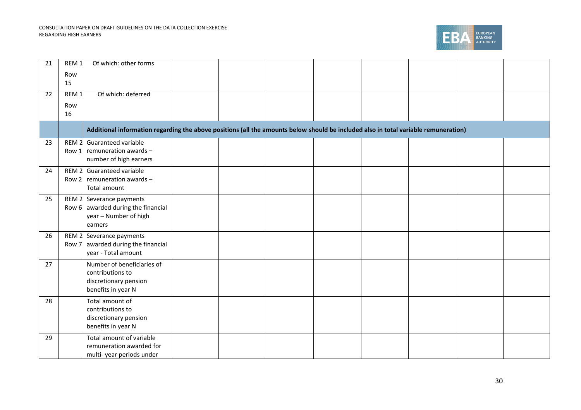

| 21 | REM <sub>1</sub>          | Of which: other forms                                                                                                               |  |  |  |  |
|----|---------------------------|-------------------------------------------------------------------------------------------------------------------------------------|--|--|--|--|
|    | Row                       |                                                                                                                                     |  |  |  |  |
|    | 15                        |                                                                                                                                     |  |  |  |  |
| 22 | REM <sub>1</sub>          | Of which: deferred                                                                                                                  |  |  |  |  |
|    | Row                       |                                                                                                                                     |  |  |  |  |
|    | 16                        |                                                                                                                                     |  |  |  |  |
|    |                           | Additional information regarding the above positions (all the amounts below should be included also in total variable remuneration) |  |  |  |  |
| 23 | REM <sub>2</sub>          | Guaranteed variable                                                                                                                 |  |  |  |  |
|    | Row 1                     | remuneration awards -<br>number of high earners                                                                                     |  |  |  |  |
|    |                           |                                                                                                                                     |  |  |  |  |
| 24 | REM <sub>2</sub><br>Row 2 | Guaranteed variable<br>remuneration awards -                                                                                        |  |  |  |  |
|    |                           | Total amount                                                                                                                        |  |  |  |  |
| 25 |                           | REM 2 Severance payments                                                                                                            |  |  |  |  |
|    |                           | Row $6$ awarded during the financial                                                                                                |  |  |  |  |
|    |                           | year - Number of high                                                                                                               |  |  |  |  |
|    |                           | earners                                                                                                                             |  |  |  |  |
| 26 | REM <sub>2</sub><br>Row 7 | Severance payments<br>awarded during the financial                                                                                  |  |  |  |  |
|    |                           | year - Total amount                                                                                                                 |  |  |  |  |
| 27 |                           | Number of beneficiaries of                                                                                                          |  |  |  |  |
|    |                           | contributions to                                                                                                                    |  |  |  |  |
|    |                           | discretionary pension                                                                                                               |  |  |  |  |
|    |                           | benefits in year N                                                                                                                  |  |  |  |  |
| 28 |                           | Total amount of<br>contributions to                                                                                                 |  |  |  |  |
|    |                           | discretionary pension                                                                                                               |  |  |  |  |
|    |                           | benefits in year N                                                                                                                  |  |  |  |  |
| 29 |                           | Total amount of variable                                                                                                            |  |  |  |  |
|    |                           | remuneration awarded for                                                                                                            |  |  |  |  |
|    |                           | multi-year periods under                                                                                                            |  |  |  |  |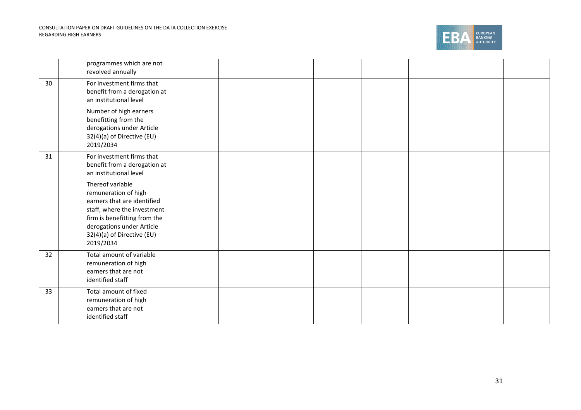

|    | programmes which are not<br>revolved annually                                                                                                                                                                  |  |  |  |  |
|----|----------------------------------------------------------------------------------------------------------------------------------------------------------------------------------------------------------------|--|--|--|--|
| 30 | For investment firms that<br>benefit from a derogation at<br>an institutional level                                                                                                                            |  |  |  |  |
|    | Number of high earners<br>benefitting from the<br>derogations under Article<br>32(4)(a) of Directive (EU)<br>2019/2034                                                                                         |  |  |  |  |
| 31 | For investment firms that<br>benefit from a derogation at<br>an institutional level                                                                                                                            |  |  |  |  |
|    | Thereof variable<br>remuneration of high<br>earners that are identified<br>staff, where the investment<br>firm is benefitting from the<br>derogations under Article<br>32(4)(a) of Directive (EU)<br>2019/2034 |  |  |  |  |
| 32 | Total amount of variable<br>remuneration of high<br>earners that are not<br>identified staff                                                                                                                   |  |  |  |  |
| 33 | Total amount of fixed<br>remuneration of high<br>earners that are not<br>identified staff                                                                                                                      |  |  |  |  |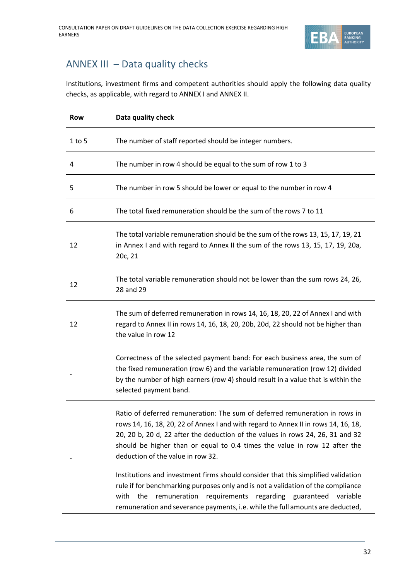

### ANNEX III – Data quality checks

Institutions, investment firms and competent authorities should apply the following data quality checks, as applicable, with regard to ANNEX I and ANNEX II.

| <b>Row</b> | Data quality check                                                                                                                                                                                                                                                                                                                                                                                                                                                                                                                                                                                                                                                                                               |
|------------|------------------------------------------------------------------------------------------------------------------------------------------------------------------------------------------------------------------------------------------------------------------------------------------------------------------------------------------------------------------------------------------------------------------------------------------------------------------------------------------------------------------------------------------------------------------------------------------------------------------------------------------------------------------------------------------------------------------|
| $1$ to 5   | The number of staff reported should be integer numbers.                                                                                                                                                                                                                                                                                                                                                                                                                                                                                                                                                                                                                                                          |
| 4          | The number in row 4 should be equal to the sum of row 1 to 3                                                                                                                                                                                                                                                                                                                                                                                                                                                                                                                                                                                                                                                     |
| 5          | The number in row 5 should be lower or equal to the number in row 4                                                                                                                                                                                                                                                                                                                                                                                                                                                                                                                                                                                                                                              |
| 6          | The total fixed remuneration should be the sum of the rows 7 to 11                                                                                                                                                                                                                                                                                                                                                                                                                                                                                                                                                                                                                                               |
| 12         | The total variable remuneration should be the sum of the rows 13, 15, 17, 19, 21<br>in Annex I and with regard to Annex II the sum of the rows 13, 15, 17, 19, 20a,<br>20c, 21                                                                                                                                                                                                                                                                                                                                                                                                                                                                                                                                   |
| 12         | The total variable remuneration should not be lower than the sum rows 24, 26,<br>28 and 29                                                                                                                                                                                                                                                                                                                                                                                                                                                                                                                                                                                                                       |
| 12         | The sum of deferred remuneration in rows 14, 16, 18, 20, 22 of Annex I and with<br>regard to Annex II in rows 14, 16, 18, 20, 20b, 20d, 22 should not be higher than<br>the value in row 12                                                                                                                                                                                                                                                                                                                                                                                                                                                                                                                      |
|            | Correctness of the selected payment band: For each business area, the sum of<br>the fixed remuneration (row 6) and the variable remuneration (row 12) divided<br>by the number of high earners (row 4) should result in a value that is within the<br>selected payment band.                                                                                                                                                                                                                                                                                                                                                                                                                                     |
|            | Ratio of deferred remuneration: The sum of deferred remuneration in rows in<br>rows 14, 16, 18, 20, 22 of Annex I and with regard to Annex II in rows 14, 16, 18,<br>20, 20 b, 20 d, 22 after the deduction of the values in rows 24, 26, 31 and 32<br>should be higher than or equal to 0.4 times the value in row 12 after the<br>deduction of the value in row 32.<br>Institutions and investment firms should consider that this simplified validation<br>rule if for benchmarking purposes only and is not a validation of the compliance<br>the<br>remuneration<br>requirements<br>regarding guaranteed variable<br>with<br>remuneration and severance payments, i.e. while the full amounts are deducted, |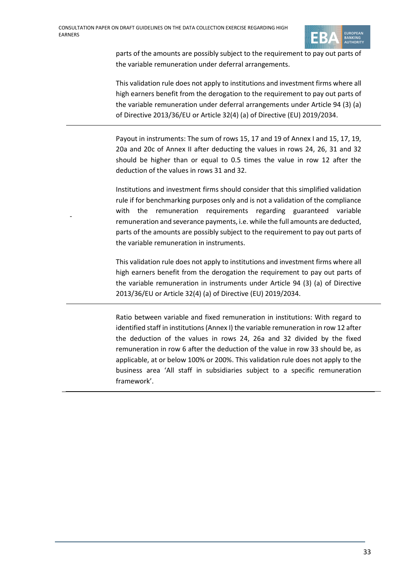-



parts of the amounts are possibly subject to the requirement to pay out parts of the variable remuneration under deferral arrangements.

This validation rule does not apply to institutions and investment firms where all high earners benefit from the derogation to the requirement to pay out parts of the variable remuneration under deferral arrangements under Article 94 (3) (a) of Directive 2013/36/EU or Article 32(4) (a) of Directive (EU) 2019/2034.

Payout in instruments: The sum of rows 15, 17 and 19 of Annex I and 15, 17, 19, 20a and 20c of Annex II after deducting the values in rows 24, 26, 31 and 32 should be higher than or equal to 0.5 times the value in row 12 after the deduction of the values in rows 31 and 32.

Institutions and investment firms should consider that this simplified validation rule if for benchmarking purposes only and is not a validation of the compliance with the remuneration requirements regarding guaranteed variable remuneration and severance payments, i.e. while the full amounts are deducted, parts of the amounts are possibly subject to the requirement to pay out parts of the variable remuneration in instruments.

This validation rule does not apply to institutions and investment firms where all high earners benefit from the derogation the requirement to pay out parts of the variable remuneration in instruments under Article 94 (3) (a) of Directive 2013/36/EU or Article 32(4) (a) of Directive (EU) 2019/2034.

Ratio between variable and fixed remuneration in institutions: With regard to identified staff in institutions (Annex I) the variable remuneration in row 12 after the deduction of the values in rows 24, 26a and 32 divided by the fixed remuneration in row 6 after the deduction of the value in row 33 should be, as applicable, at or below 100% or 200%. This validation rule does not apply to the business area 'All staff in subsidiaries subject to a specific remuneration framework'.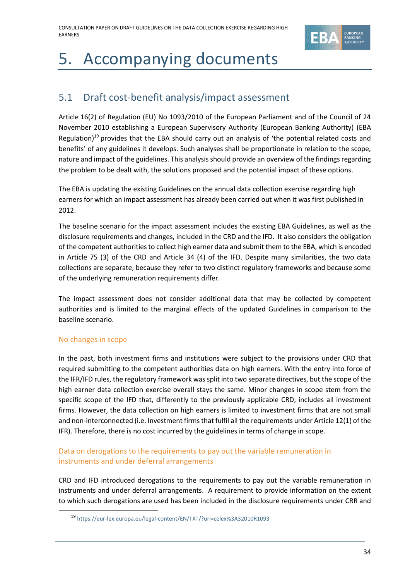

# 5. Accompanying documents

### 5.1 Draft cost-benefit analysis/impact assessment

Article 16(2) of Regulation (EU) No 1093/2010 of the European Parliament and of the Council of 24 November 2010 establishing a European Supervisory Authority (European Banking Authority) (EBA Regulation)<sup>19</sup> provides that the EBA should carry out an analysis of 'the potential related costs and benefits' of any guidelines it develops. Such analyses shall be proportionate in relation to the scope, nature and impact of the guidelines. This analysis should provide an overview of the findings regarding the problem to be dealt with, the solutions proposed and the potential impact of these options.

The EBA is updating the existing Guidelines on the annual data collection exercise regarding high earners for which an impact assessment has already been carried out when it was first published in 2012.

The baseline scenario for the impact assessment includes the existing EBA Guidelines, as well as the disclosure requirements and changes, included in the CRD and the IFD. It also considers the obligation of the competent authorities to collect high earner data and submit them to the EBA, which is encoded in Article 75 (3) of the CRD and Article 34 (4) of the IFD. Despite many similarities, the two data collections are separate, because they refer to two distinct regulatory frameworks and because some of the underlying remuneration requirements differ.

The impact assessment does not consider additional data that may be collected by competent authorities and is limited to the marginal effects of the updated Guidelines in comparison to the baseline scenario.

#### No changes in scope

In the past, both investment firms and institutions were subject to the provisions under CRD that required submitting to the competent authorities data on high earners. With the entry into force of the IFR/IFD rules, the regulatory framework was split into two separate directives, but the scope of the high earner data collection exercise overall stays the same. Minor changes in scope stem from the specific scope of the IFD that, differently to the previously applicable CRD, includes all investment firms. However, the data collection on high earners is limited to investment firms that are not small and non-interconnected (i.e. Investment firms that fulfil all the requirements under Article 12(1) of the IFR). Therefore, there is no cost incurred by the guidelines in terms of change in scope.

#### Data on derogations to the requirements to pay out the variable remuneration in instruments and under deferral arrangements

CRD and IFD introduced derogations to the requirements to pay out the variable remuneration in instruments and under deferral arrangements. A requirement to provide information on the extent to which such derogations are used has been included in the disclosure requirements under CRR and

<sup>19</sup> <https://eur-lex.europa.eu/legal-content/EN/TXT/?uri=celex%3A32010R1093>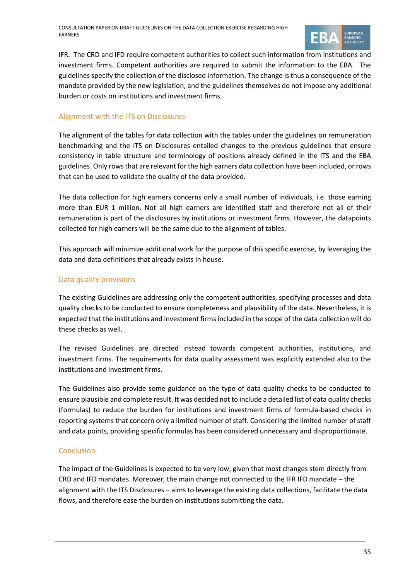

IFR. The CRD and IFD require competent authorities to collect such information from institutions and investment firms. Competent authorities are required to submit the information to the EBA. The guidelines specify the collection of the disclosed information. The change is thus a consequence of the mandate provided by the new legislation, and the guidelines themselves do not impose any additional burden or costs on institutions and investment firms.

#### Alignment with the ITS on Disclosures

The alignment of the tables for data collection with the tables under the guidelines on remuneration benchmarking and the ITS on Disclosures entailed changes to the previous guidelines that ensure consistency in table structure and terminology of positions already defined in the ITS and the EBA guidelines. Only rows that are relevant for the high earners data collection have been included, or rows that can be used to validate the quality of the data provided.

The data collection for high earners concerns only a small number of individuals, i.e. those earning more than EUR 1 million. Not all high earners are identified staff and therefore not all of their remuneration is part of the disclosures by institutions or investment firms. However, the datapoints collected for high earners will be the same due to the alignment of tables.

This approach will minimize additional work for the purpose of this specific exercise, by leveraging the data and data definitions that already exists in house.

#### Data quality provisions

The existing Guidelines are addressing only the competent authorities, specifying processes and data quality checks to be conducted to ensure completeness and plausibility of the data. Nevertheless, it is expected that the institutions and investment firms included in the scope of the data collection will do these checks as well.

The revised Guidelines are directed instead towards competent authorities, institutions, and investment firms. The requirements for data quality assessment was explicitly extended also to the institutions and investment firms.

The Guidelines also provide some guidance on the type of data quality checks to be conducted to ensure plausible and complete result. It was decided not to include a detailed list of data quality checks (formulas) to reduce the burden for institutions and investment firms of formula-based checks in reporting systems that concern only a limited number of staff. Considering the limited number of staff and data points, providing specific formulas has been considered unnecessary and disproportionate.

#### Conclusion

The impact of the Guidelines is expected to be very low, given that most changes stem directly from CRD and IFD mandates. Moreover, the main change not connected to the IFR IFD mandate – the alignment with the ITS Disclosures – aims to leverage the existing data collections, facilitate the data flows, and therefore ease the burden on institutions submitting the data.